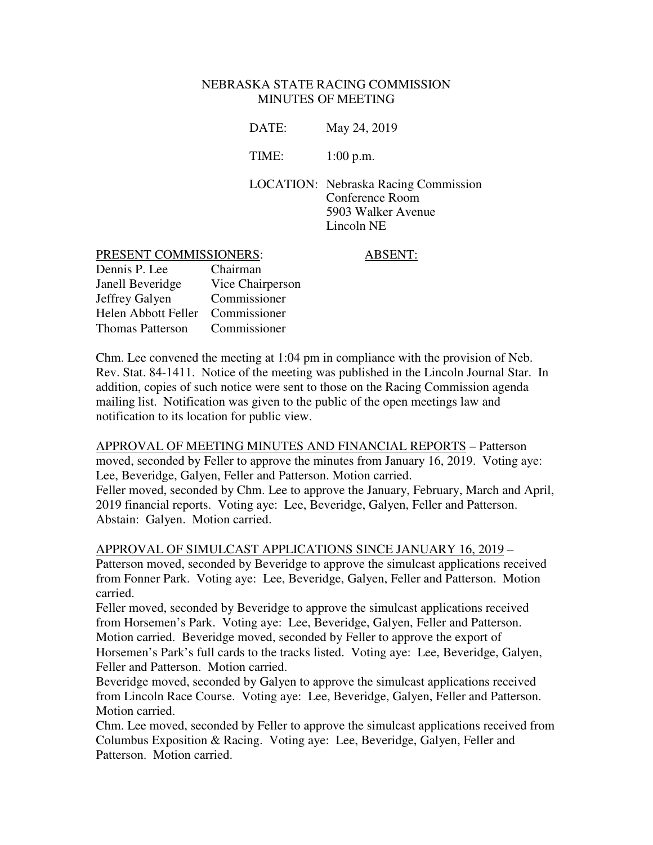#### NEBRASKA STATE RACING COMMISSION MINUTES OF MEETING

| DATE: | May 24, 2019                                                                                       |
|-------|----------------------------------------------------------------------------------------------------|
| TIME: | $1:00$ p.m.                                                                                        |
|       | <b>LOCATION:</b> Nebraska Racing Commission<br>Conference Room<br>5903 Walker Avenue<br>Lincoln NE |

#### PRESENT COMMISSIONERS: ABSENT:

| Dennis P. Lee           | Chairman         |
|-------------------------|------------------|
| Janell Beveridge        | Vice Chairperson |
| Jeffrey Galyen          | Commissioner     |
| Helen Abbott Feller     | Commissioner     |
| <b>Thomas Patterson</b> | Commissioner     |

Chm. Lee convened the meeting at 1:04 pm in compliance with the provision of Neb. Rev. Stat. 84-1411. Notice of the meeting was published in the Lincoln Journal Star. In addition, copies of such notice were sent to those on the Racing Commission agenda mailing list. Notification was given to the public of the open meetings law and notification to its location for public view.

APPROVAL OF MEETING MINUTES AND FINANCIAL REPORTS – Patterson moved, seconded by Feller to approve the minutes from January 16, 2019. Voting aye: Lee, Beveridge, Galyen, Feller and Patterson. Motion carried. Feller moved, seconded by Chm. Lee to approve the January, February, March and April, 2019 financial reports. Voting aye: Lee, Beveridge, Galyen, Feller and Patterson. Abstain: Galyen. Motion carried.

APPROVAL OF SIMULCAST APPLICATIONS SINCE JANUARY 16, 2019 –

Patterson moved, seconded by Beveridge to approve the simulcast applications received from Fonner Park. Voting aye: Lee, Beveridge, Galyen, Feller and Patterson. Motion carried.

Feller moved, seconded by Beveridge to approve the simulcast applications received from Horsemen's Park. Voting aye: Lee, Beveridge, Galyen, Feller and Patterson. Motion carried. Beveridge moved, seconded by Feller to approve the export of Horsemen's Park's full cards to the tracks listed. Voting aye: Lee, Beveridge, Galyen, Feller and Patterson. Motion carried.

Beveridge moved, seconded by Galyen to approve the simulcast applications received from Lincoln Race Course. Voting aye: Lee, Beveridge, Galyen, Feller and Patterson. Motion carried.

Chm. Lee moved, seconded by Feller to approve the simulcast applications received from Columbus Exposition & Racing. Voting aye: Lee, Beveridge, Galyen, Feller and Patterson. Motion carried.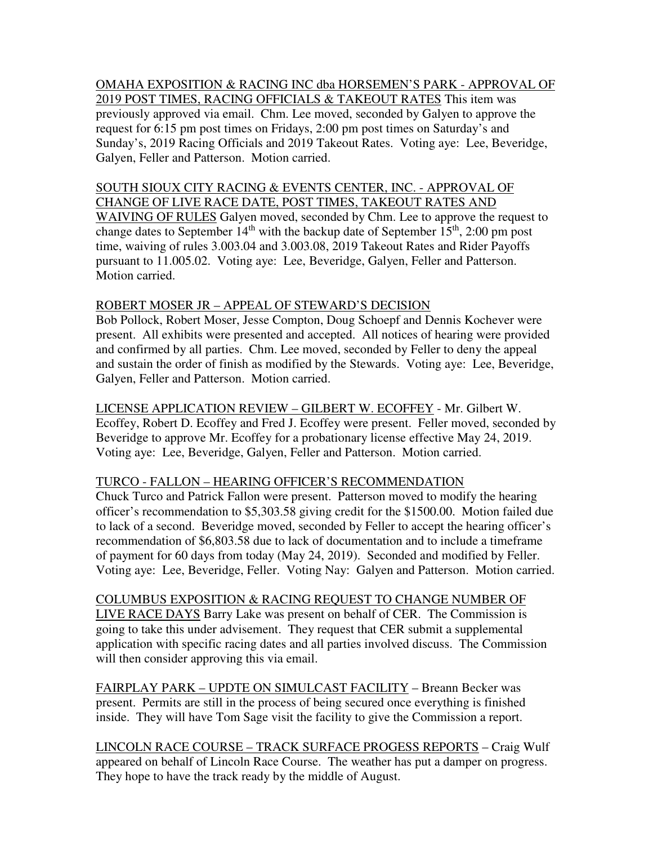OMAHA EXPOSITION & RACING INC dba HORSEMEN'S PARK - APPROVAL OF 2019 POST TIMES, RACING OFFICIALS & TAKEOUT RATES This item was previously approved via email. Chm. Lee moved, seconded by Galyen to approve the request for 6:15 pm post times on Fridays, 2:00 pm post times on Saturday's and Sunday's, 2019 Racing Officials and 2019 Takeout Rates. Voting aye: Lee, Beveridge, Galyen, Feller and Patterson. Motion carried.

SOUTH SIOUX CITY RACING & EVENTS CENTER, INC. - APPROVAL OF CHANGE OF LIVE RACE DATE, POST TIMES, TAKEOUT RATES AND WAIVING OF RULES Galyen moved, seconded by Chm. Lee to approve the request to change dates to September  $14<sup>th</sup>$  with the backup date of September  $15<sup>th</sup>$ , 2:00 pm post time, waiving of rules 3.003.04 and 3.003.08, 2019 Takeout Rates and Rider Payoffs pursuant to 11.005.02. Voting aye: Lee, Beveridge, Galyen, Feller and Patterson. Motion carried.

## ROBERT MOSER JR – APPEAL OF STEWARD'S DECISION

Bob Pollock, Robert Moser, Jesse Compton, Doug Schoepf and Dennis Kochever were present. All exhibits were presented and accepted. All notices of hearing were provided and confirmed by all parties. Chm. Lee moved, seconded by Feller to deny the appeal and sustain the order of finish as modified by the Stewards. Voting aye: Lee, Beveridge, Galyen, Feller and Patterson. Motion carried.

LICENSE APPLICATION REVIEW – GILBERT W. ECOFFEY - Mr. Gilbert W. Ecoffey, Robert D. Ecoffey and Fred J. Ecoffey were present. Feller moved, seconded by Beveridge to approve Mr. Ecoffey for a probationary license effective May 24, 2019. Voting aye: Lee, Beveridge, Galyen, Feller and Patterson. Motion carried.

# TURCO - FALLON – HEARING OFFICER'S RECOMMENDATION

Chuck Turco and Patrick Fallon were present. Patterson moved to modify the hearing officer's recommendation to \$5,303.58 giving credit for the \$1500.00. Motion failed due to lack of a second. Beveridge moved, seconded by Feller to accept the hearing officer's recommendation of \$6,803.58 due to lack of documentation and to include a timeframe of payment for 60 days from today (May 24, 2019). Seconded and modified by Feller. Voting aye: Lee, Beveridge, Feller. Voting Nay: Galyen and Patterson. Motion carried.

# COLUMBUS EXPOSITION & RACING REQUEST TO CHANGE NUMBER OF

LIVE RACE DAYS Barry Lake was present on behalf of CER. The Commission is going to take this under advisement. They request that CER submit a supplemental application with specific racing dates and all parties involved discuss. The Commission will then consider approving this via email.

FAIRPLAY PARK – UPDTE ON SIMULCAST FACILITY – Breann Becker was present. Permits are still in the process of being secured once everything is finished inside. They will have Tom Sage visit the facility to give the Commission a report.

LINCOLN RACE COURSE – TRACK SURFACE PROGESS REPORTS – Craig Wulf appeared on behalf of Lincoln Race Course. The weather has put a damper on progress. They hope to have the track ready by the middle of August.